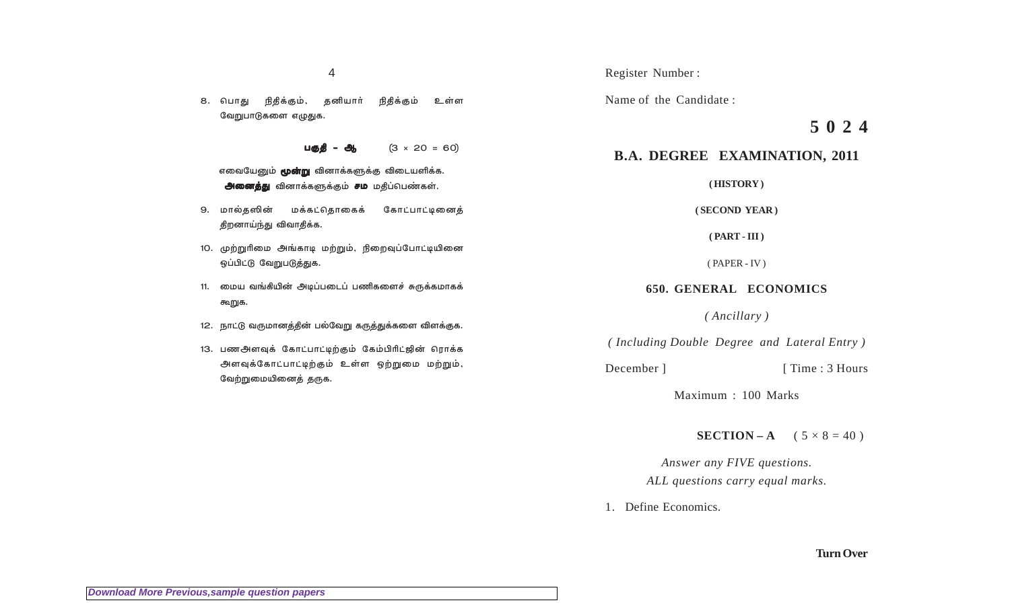தனியார் 8. பொது நிதிக்கும், நிதிக்கும் உள்ள வேறுபாடுகளை எழுதுக.

> $(3 \times 20 = 60)$ பக்கி

எவையேனும் **மூன்று** வினாக்களுக்கு விடையளிக்க. அனைத்து வினாக்களுக்கும் சம மதிப்பெண்கள்.

- 9. மால்தஸின் மக்கட்கொகைக் கோட்பாட்டினைக் திறனாய்ந்து விவாதிக்க.
- 10. முற்றுரிமை அங்காடி மற்றும், நிறைவுப்போட்டியினை ஒப்பிட்டு வேறுபடுத்துக.
- 11. மைய வங்கியின் அடிப்படைப் பணிகளைச் சுருக்கமாகக் கூறுக.
- 12. நாட்டு வருமானத்தின் பல்வேறு கருத்துக்களை விளக்குக.
- 13. பணஅளவுக் கோட்பாட்டிற்கும் கேம்பிரிட்ஜின் ரொக்க அளவுக்கோட்பாட்டிற்கும் உள்ள ஒற்றுமை மற்றும், வேற்றுமையினைத் தருக.

Register Number:

Name of the Candidate:

# $5024$

# **B.A. DEGREE EXAMINATION, 2011**

(HISTORY)

#### (SECOND YEAR)

 $(PART - III)$ 

 $(PAPER - IV)$ 

## **650. GENERAL ECONOMICS**

(Ancillary)

(Including Double Degree and Lateral Entry)

December 1

[Time: 3 Hours]

Maximum: 100 Marks

**SECTION-A**  $(5 \times 8 = 40)$ 

Answer any FIVE questions. ALL questions carry equal marks.

1. Define Economics.

**Turn Over**